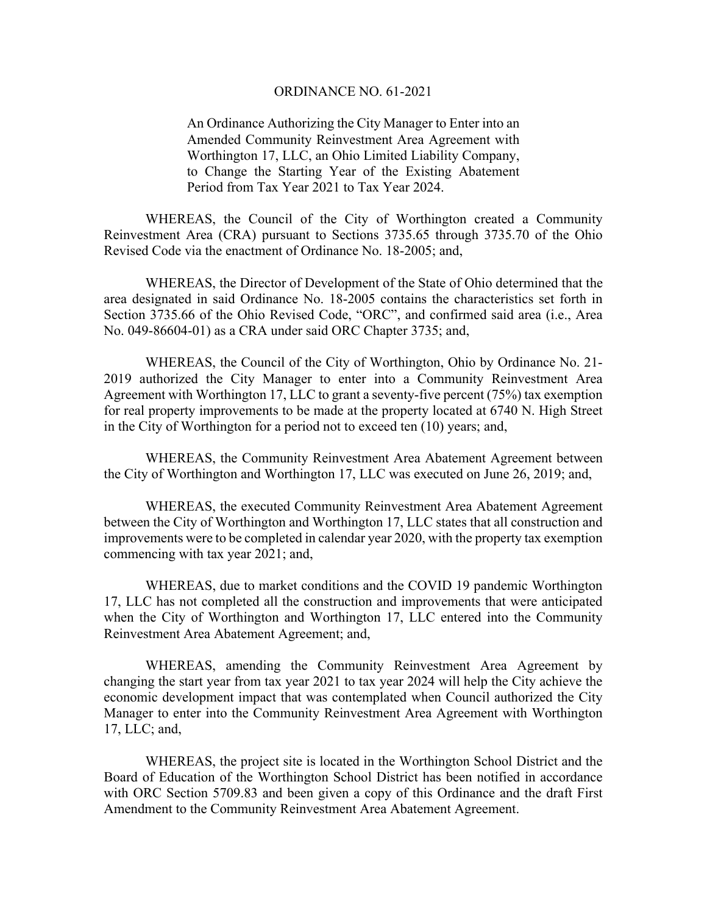#### ORDINANCE NO. 61-2021

An Ordinance Authorizing the City Manager to Enter into an Amended Community Reinvestment Area Agreement with Worthington 17, LLC, an Ohio Limited Liability Company, to Change the Starting Year of the Existing Abatement Period from Tax Year 2021 to Tax Year 2024.

WHEREAS, the Council of the City of Worthington created a Community Reinvestment Area (CRA) pursuant to Sections 3735.65 through 3735.70 of the Ohio Revised Code via the enactment of Ordinance No. 18-2005; and,

WHEREAS, the Director of Development of the State of Ohio determined that the area designated in said Ordinance No. 18-2005 contains the characteristics set forth in Section 3735.66 of the Ohio Revised Code, "ORC", and confirmed said area (i.e., Area No. 049-86604-01) as a CRA under said ORC Chapter 3735; and,

WHEREAS, the Council of the City of Worthington, Ohio by Ordinance No. 21- 2019 authorized the City Manager to enter into a Community Reinvestment Area Agreement with Worthington 17, LLC to grant a seventy-five percent (75%) tax exemption for real property improvements to be made at the property located at 6740 N. High Street in the City of Worthington for a period not to exceed ten (10) years; and,

WHEREAS, the Community Reinvestment Area Abatement Agreement between the City of Worthington and Worthington 17, LLC was executed on June 26, 2019; and,

WHEREAS, the executed Community Reinvestment Area Abatement Agreement between the City of Worthington and Worthington 17, LLC states that all construction and improvements were to be completed in calendar year 2020, with the property tax exemption commencing with tax year 2021; and,

WHEREAS, due to market conditions and the COVID 19 pandemic Worthington 17, LLC has not completed all the construction and improvements that were anticipated when the City of Worthington and Worthington 17, LLC entered into the Community Reinvestment Area Abatement Agreement; and,

WHEREAS, amending the Community Reinvestment Area Agreement by changing the start year from tax year 2021 to tax year 2024 will help the City achieve the economic development impact that was contemplated when Council authorized the City Manager to enter into the Community Reinvestment Area Agreement with Worthington 17, LLC; and,

WHEREAS, the project site is located in the Worthington School District and the Board of Education of the Worthington School District has been notified in accordance with ORC Section 5709.83 and been given a copy of this Ordinance and the draft First Amendment to the Community Reinvestment Area Abatement Agreement.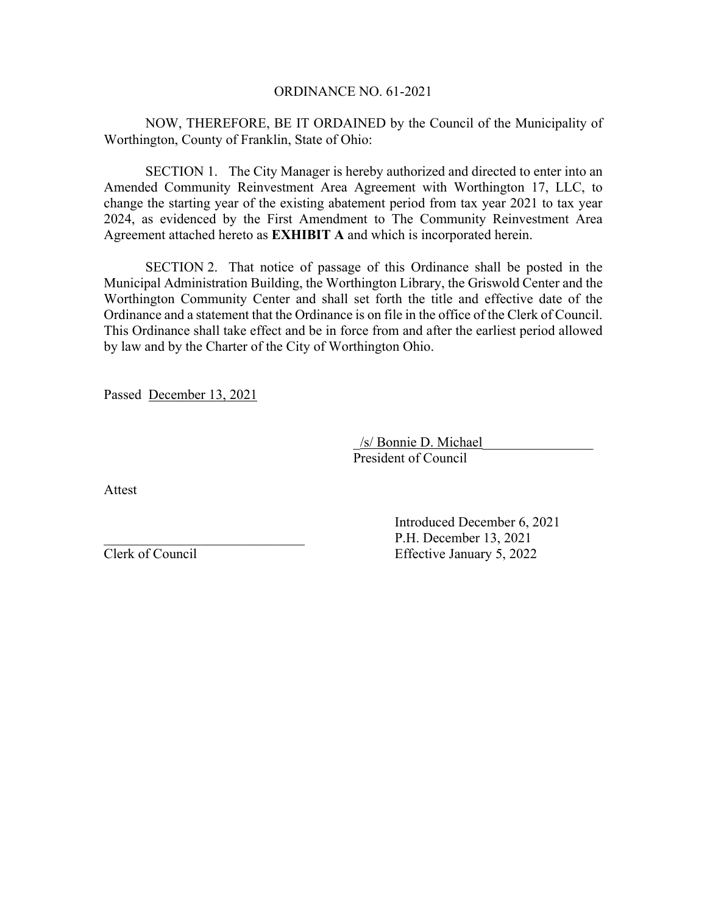## ORDINANCE NO. 61-2021

NOW, THEREFORE, BE IT ORDAINED by the Council of the Municipality of Worthington, County of Franklin, State of Ohio:

SECTION 1. The City Manager is hereby authorized and directed to enter into an Amended Community Reinvestment Area Agreement with Worthington 17, LLC, to change the starting year of the existing abatement period from tax year 2021 to tax year 2024, as evidenced by the First Amendment to The Community Reinvestment Area Agreement attached hereto as **EXHIBIT A** and which is incorporated herein.

SECTION 2. That notice of passage of this Ordinance shall be posted in the Municipal Administration Building, the Worthington Library, the Griswold Center and the Worthington Community Center and shall set forth the title and effective date of the Ordinance and a statement that the Ordinance is on file in the office of the Clerk of Council. This Ordinance shall take effect and be in force from and after the earliest period allowed by law and by the Charter of the City of Worthington Ohio.

Passed December 13, 2021

 \_/s/ Bonnie D. Michael\_\_\_\_\_\_\_\_\_\_\_\_\_\_\_\_ President of Council

Attest

 Introduced December 6, 2021 \_\_\_\_\_\_\_\_\_\_\_\_\_\_\_\_\_\_\_\_\_\_\_\_\_\_\_\_\_ P.H. December 13, 2021 Clerk of Council Effective January 5, 2022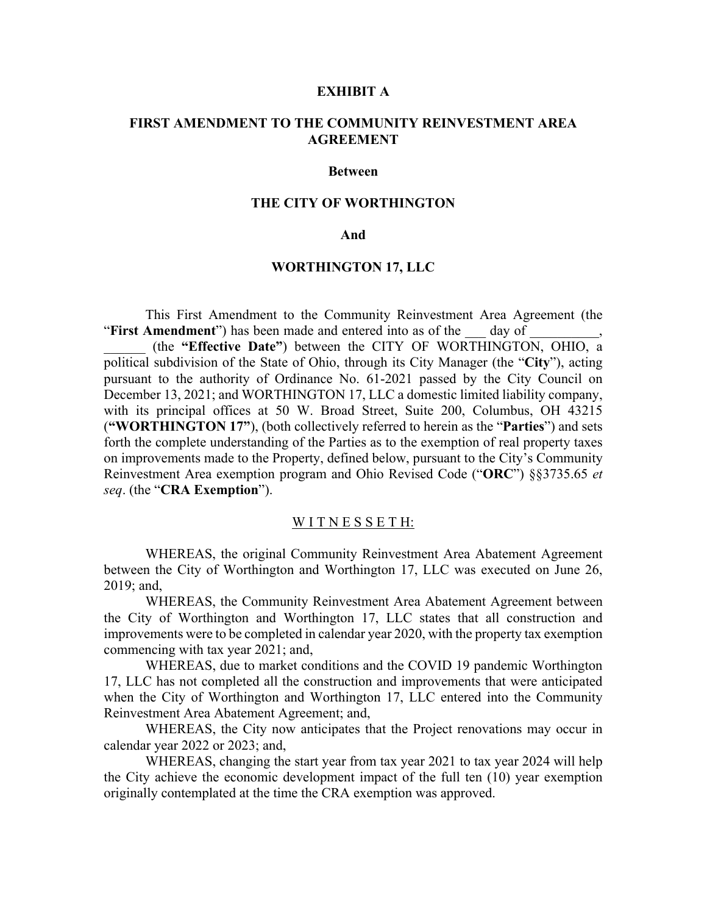#### **EXHIBIT A**

## **FIRST AMENDMENT TO THE COMMUNITY REINVESTMENT AREA AGREEMENT**

#### **Between**

## **THE CITY OF WORTHINGTON**

### **And**

### **WORTHINGTON 17, LLC**

This First Amendment to the Community Reinvestment Area Agreement (the "**First Amendment**") has been made and entered into as of the \_\_\_ day of \_\_\_\_\_\_\_\_\_\_,

\_\_\_\_\_\_ (the **"Effective Date"**) between the CITY OF WORTHINGTON, OHIO, a political subdivision of the State of Ohio, through its City Manager (the "**City**"), acting pursuant to the authority of Ordinance No. 61-2021 passed by the City Council on December 13, 2021; and WORTHINGTON 17, LLC a domestic limited liability company, with its principal offices at 50 W. Broad Street, Suite 200, Columbus, OH 43215 (**"WORTHINGTON 17"**), (both collectively referred to herein as the "**Parties**") and sets forth the complete understanding of the Parties as to the exemption of real property taxes on improvements made to the Property, defined below, pursuant to the City's Community Reinvestment Area exemption program and Ohio Revised Code ("**ORC**") §§3735.65 *et seq*. (the "**CRA Exemption**").

#### WITNESSETH:

WHEREAS, the original Community Reinvestment Area Abatement Agreement between the City of Worthington and Worthington 17, LLC was executed on June 26, 2019; and,

WHEREAS, the Community Reinvestment Area Abatement Agreement between the City of Worthington and Worthington 17, LLC states that all construction and improvements were to be completed in calendar year 2020, with the property tax exemption commencing with tax year 2021; and,

WHEREAS, due to market conditions and the COVID 19 pandemic Worthington 17, LLC has not completed all the construction and improvements that were anticipated when the City of Worthington and Worthington 17, LLC entered into the Community Reinvestment Area Abatement Agreement; and,

WHEREAS, the City now anticipates that the Project renovations may occur in calendar year 2022 or 2023; and,

WHEREAS, changing the start year from tax year 2021 to tax year 2024 will help the City achieve the economic development impact of the full ten (10) year exemption originally contemplated at the time the CRA exemption was approved.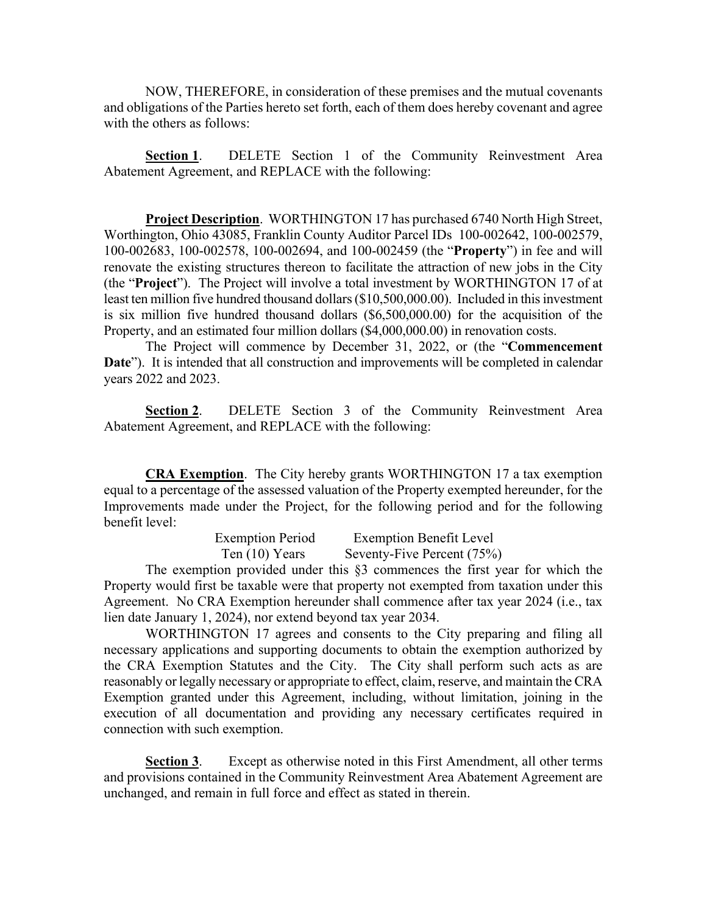NOW, THEREFORE, in consideration of these premises and the mutual covenants and obligations of the Parties hereto set forth, each of them does hereby covenant and agree with the others as follows:

**Section 1**. DELETE Section 1 of the Community Reinvestment Area Abatement Agreement, and REPLACE with the following:

**Project Description**. WORTHINGTON 17 has purchased 6740 North High Street, Worthington, Ohio 43085, Franklin County Auditor Parcel IDs 100-002642, 100-002579, 100-002683, 100-002578, 100-002694, and 100-002459 (the "**Property**") in fee and will renovate the existing structures thereon to facilitate the attraction of new jobs in the City (the "**Project**"). The Project will involve a total investment by WORTHINGTON 17 of at least ten million five hundred thousand dollars (\$10,500,000.00). Included in this investment is six million five hundred thousand dollars (\$6,500,000.00) for the acquisition of the Property, and an estimated four million dollars (\$4,000,000.00) in renovation costs.

The Project will commence by December 31, 2022, or (the "**Commencement**  Date"). It is intended that all construction and improvements will be completed in calendar years 2022 and 2023.

**Section 2**. DELETE Section 3 of the Community Reinvestment Area Abatement Agreement, and REPLACE with the following:

**CRA Exemption**. The City hereby grants WORTHINGTON 17 a tax exemption equal to a percentage of the assessed valuation of the Property exempted hereunder, for the Improvements made under the Project, for the following period and for the following benefit level:

| <b>Exemption Period</b> | <b>Exemption Benefit Level</b> |
|-------------------------|--------------------------------|
| Ten $(10)$ Years        | Seventy-Five Percent (75%)     |

The exemption provided under this §3 commences the first year for which the Property would first be taxable were that property not exempted from taxation under this Agreement. No CRA Exemption hereunder shall commence after tax year 2024 (i.e., tax lien date January 1, 2024), nor extend beyond tax year 2034.

WORTHINGTON 17 agrees and consents to the City preparing and filing all necessary applications and supporting documents to obtain the exemption authorized by the CRA Exemption Statutes and the City. The City shall perform such acts as are reasonably or legally necessary or appropriate to effect, claim, reserve, and maintain the CRA Exemption granted under this Agreement, including, without limitation, joining in the execution of all documentation and providing any necessary certificates required in connection with such exemption.

**Section 3**. Except as otherwise noted in this First Amendment, all other terms and provisions contained in the Community Reinvestment Area Abatement Agreement are unchanged, and remain in full force and effect as stated in therein.